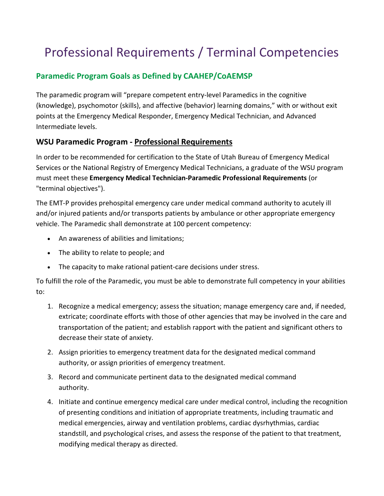# Professional Requirements / Terminal Competencies

# **Paramedic Program Goals as Defined by CAAHEP/CoAEMSP**

The paramedic program will "prepare competent entry-level Paramedics in the cognitive (knowledge), psychomotor (skills), and affective (behavior) learning domains," with or without exit points at the Emergency Medical Responder, Emergency Medical Technician, and Advanced Intermediate levels.

## **WSU Paramedic Program - Professional Requirements**

In order to be recommended for certification to the State of Utah Bureau of Emergency Medical Services or the National Registry of Emergency Medical Technicians, a graduate of the WSU program must meet these **Emergency Medical Technician-Paramedic Professional Requirements** (or "terminal objectives").

The EMT-P provides prehospital emergency care under medical command authority to acutely ill and/or injured patients and/or transports patients by ambulance or other appropriate emergency vehicle. The Paramedic shall demonstrate at 100 percent competency:

- An awareness of abilities and limitations;
- The ability to relate to people; and
- The capacity to make rational patient-care decisions under stress.

To fulfill the role of the Paramedic, you must be able to demonstrate full competency in your abilities to:

- 1. Recognize a medical emergency; assess the situation; manage emergency care and, if needed, extricate; coordinate efforts with those of other agencies that may be involved in the care and transportation of the patient; and establish rapport with the patient and significant others to decrease their state of anxiety.
- 2. Assign priorities to emergency treatment data for the designated medical command authority, or assign priorities of emergency treatment.
- 3. Record and communicate pertinent data to the designated medical command authority.
- 4. Initiate and continue emergency medical care under medical control, including the recognition of presenting conditions and initiation of appropriate treatments, including traumatic and medical emergencies, airway and ventilation problems, cardiac dysrhythmias, cardiac standstill, and psychological crises, and assess the response of the patient to that treatment, modifying medical therapy as directed.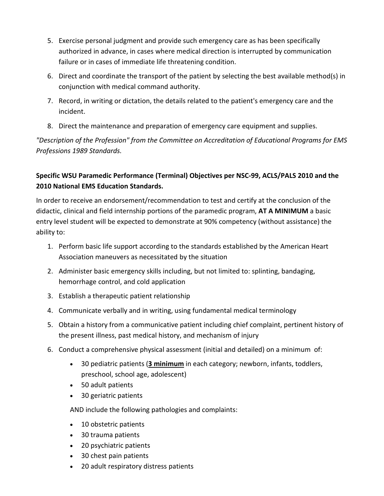- 5. Exercise personal judgment and provide such emergency care as has been specifically authorized in advance, in cases where medical direction is interrupted by communication failure or in cases of immediate life threatening condition.
- 6. Direct and coordinate the transport of the patient by selecting the best available method(s) in conjunction with medical command authority.
- 7. Record, in writing or dictation, the details related to the patient's emergency care and the incident.
- 8. Direct the maintenance and preparation of emergency care equipment and supplies.

*"Description of the Profession" from the Committee on Accreditation of Educational Programs for EMS Professions 1989 Standards.*

### **Specific WSU Paramedic Performance (Terminal) Objectives per NSC-99, ACLS/PALS 2010 and the 2010 National EMS Education Standards.**

In order to receive an endorsement/recommendation to test and certify at the conclusion of the didactic, clinical and field internship portions of the paramedic program, **AT A MINIMUM** a basic entry level student will be expected to demonstrate at 90% competency (without assistance) the ability to:

- 1. Perform basic life support according to the standards established by the American Heart Association maneuvers as necessitated by the situation
- 2. Administer basic emergency skills including, but not limited to: splinting, bandaging, hemorrhage control, and cold application
- 3. Establish a therapeutic patient relationship
- 4. Communicate verbally and in writing, using fundamental medical terminology
- 5. Obtain a history from a communicative patient including chief complaint, pertinent history of the present illness, past medical history, and mechanism of injury
- 6. Conduct a comprehensive physical assessment (initial and detailed) on a minimum of:
	- 30 pediatric patients (**3 minimum** in each category; newborn, infants, toddlers, preschool, school age, adolescent)
	- 50 adult patients
	- 30 geriatric patients

AND include the following pathologies and complaints:

- 10 obstetric patients
- 30 trauma patients
- 20 psychiatric patients
- 30 chest pain patients
- 20 adult respiratory distress patients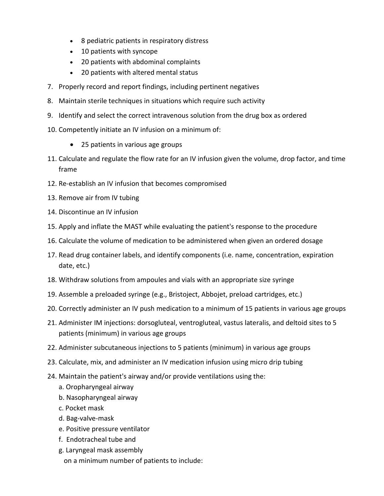- 8 pediatric patients in respiratory distress
- 10 patients with syncope
- 20 patients with abdominal complaints
- 20 patients with altered mental status
- 7. Properly record and report findings, including pertinent negatives
- 8. Maintain sterile techniques in situations which require such activity
- 9. Identify and select the correct intravenous solution from the drug box as ordered
- 10. Competently initiate an IV infusion on a minimum of:
	- 25 patients in various age groups
- 11. Calculate and regulate the flow rate for an IV infusion given the volume, drop factor, and time frame
- 12. Re-establish an IV infusion that becomes compromised
- 13. Remove air from IV tubing
- 14. Discontinue an IV infusion
- 15. Apply and inflate the MAST while evaluating the patient's response to the procedure
- 16. Calculate the volume of medication to be administered when given an ordered dosage
- 17. Read drug container labels, and identify components (i.e. name, concentration, expiration date, etc.)
- 18. Withdraw solutions from ampoules and vials with an appropriate size syringe
- 19. Assemble a preloaded syringe (e.g., Bristoject, Abbojet, preload cartridges, etc.)
- 20. Correctly administer an IV push medication to a minimum of 15 patients in various age groups
- 21. Administer IM injections: dorsogluteal, ventrogluteal, vastus lateralis, and deltoid sites to 5 patients (minimum) in various age groups
- 22. Administer subcutaneous injections to 5 patients (minimum) in various age groups
- 23. Calculate, mix, and administer an IV medication infusion using micro drip tubing
- 24. Maintain the patient's airway and/or provide ventilations using the:
	- a. Oropharyngeal airway
	- b. Nasopharyngeal airway
	- c. Pocket mask
	- d. Bag-valve-mask
	- e. Positive pressure ventilator
	- f. Endotracheal tube and
	- g. Laryngeal mask assembly on a minimum number of patients to include: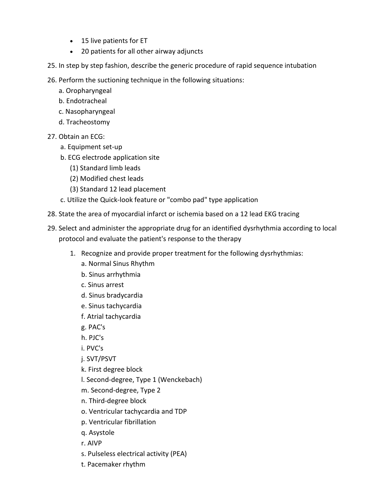- 15 live patients for ET
- 20 patients for all other airway adjuncts
- 25. In step by step fashion, describe the generic procedure of rapid sequence intubation
- 26. Perform the suctioning technique in the following situations:
	- a. Oropharyngeal
	- b. Endotracheal
	- c. Nasopharyngeal
	- d. Tracheostomy
- 27. Obtain an ECG:
	- a. Equipment set-up
	- b. ECG electrode application site
		- (1) Standard limb leads
		- (2) Modified chest leads
		- (3) Standard 12 lead placement
	- c. Utilize the Quick-look feature or "combo pad" type application
- 28. State the area of myocardial infarct or ischemia based on a 12 lead EKG tracing
- 29. Select and administer the appropriate drug for an identified dysrhythmia according to local protocol and evaluate the patient's response to the therapy
	- 1. Recognize and provide proper treatment for the following dysrhythmias:
		- a. Normal Sinus Rhythm
		- b. Sinus arrhythmia
		- c. Sinus arrest
		- d. Sinus bradycardia
		- e. Sinus tachycardia
		- f. Atrial tachycardia
		- g. PAC's
		- h. PJC's
		- i. PVC's
		- j. SVT/PSVT
		- k. First degree block
		- l. Second-degree, Type 1 (Wenckebach)
		- m. Second-degree, Type 2
		- n. Third-degree block
		- o. Ventricular tachycardia and TDP
		- p. Ventricular fibrillation
		- q. Asystole
		- r. AIVP
		- s. Pulseless electrical activity (PEA)
		- t. Pacemaker rhythm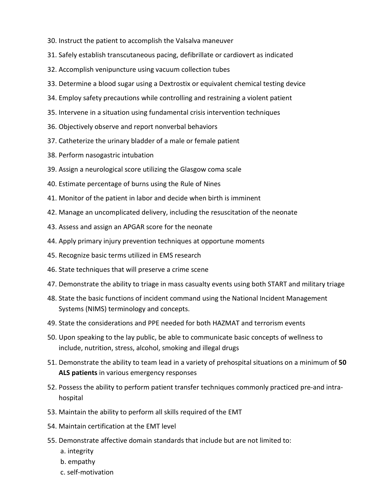- 30. Instruct the patient to accomplish the Valsalva maneuver
- 31. Safely establish transcutaneous pacing, defibrillate or cardiovert as indicated
- 32. Accomplish venipuncture using vacuum collection tubes
- 33. Determine a blood sugar using a Dextrostix or equivalent chemical testing device
- 34. Employ safety precautions while controlling and restraining a violent patient
- 35. Intervene in a situation using fundamental crisis intervention techniques
- 36. Objectively observe and report nonverbal behaviors
- 37. Catheterize the urinary bladder of a male or female patient
- 38. Perform nasogastric intubation
- 39. Assign a neurological score utilizing the Glasgow coma scale
- 40. Estimate percentage of burns using the Rule of Nines
- 41. Monitor of the patient in labor and decide when birth is imminent
- 42. Manage an uncomplicated delivery, including the resuscitation of the neonate
- 43. Assess and assign an APGAR score for the neonate
- 44. Apply primary injury prevention techniques at opportune moments
- 45. Recognize basic terms utilized in EMS research
- 46. State techniques that will preserve a crime scene
- 47. Demonstrate the ability to triage in mass casualty events using both START and military triage
- 48. State the basic functions of incident command using the National Incident Management Systems (NIMS) terminology and concepts.
- 49. State the considerations and PPE needed for both HAZMAT and terrorism events
- 50. Upon speaking to the lay public, be able to communicate basic concepts of wellness to include, nutrition, stress, alcohol, smoking and illegal drugs
- 51. Demonstrate the ability to team lead in a variety of prehospital situations on a minimum of **50 ALS patients** in various emergency responses
- 52. Possess the ability to perform patient transfer techniques commonly practiced pre-and intrahospital
- 53. Maintain the ability to perform all skills required of the EMT
- 54. Maintain certification at the EMT level
- 55. Demonstrate affective domain standards that include but are not limited to:
	- a. integrity
	- b. empathy
	- c. self-motivation